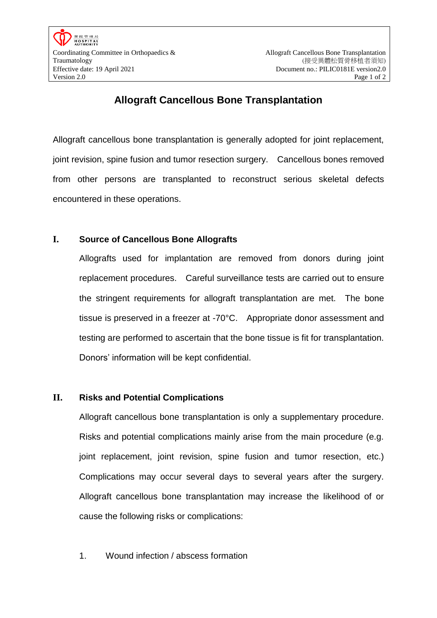## **Allograft Cancellous Bone Transplantation**

Allograft cancellous bone transplantation is generally adopted for joint replacement, joint revision, spine fusion and tumor resection surgery. Cancellous bones removed from other persons are transplanted to reconstruct serious skeletal defects encountered in these operations.

## **I. Source of Cancellous Bone Allografts**

Allografts used for implantation are removed from donors during joint replacement procedures. Careful surveillance tests are carried out to ensure the stringent requirements for allograft transplantation are met. The bone tissue is preserved in a freezer at -70°C. Appropriate donor assessment and testing are performed to ascertain that the bone tissue is fit for transplantation. Donors' information will be kept confidential.

## **II. Risks and Potential Complications**

Allograft cancellous bone transplantation is only a supplementary procedure. Risks and potential complications mainly arise from the main procedure (e.g. joint replacement, joint revision, spine fusion and tumor resection, etc.) Complications may occur several days to several years after the surgery. Allograft cancellous bone transplantation may increase the likelihood of or cause the following risks or complications:

1. Wound infection / abscess formation